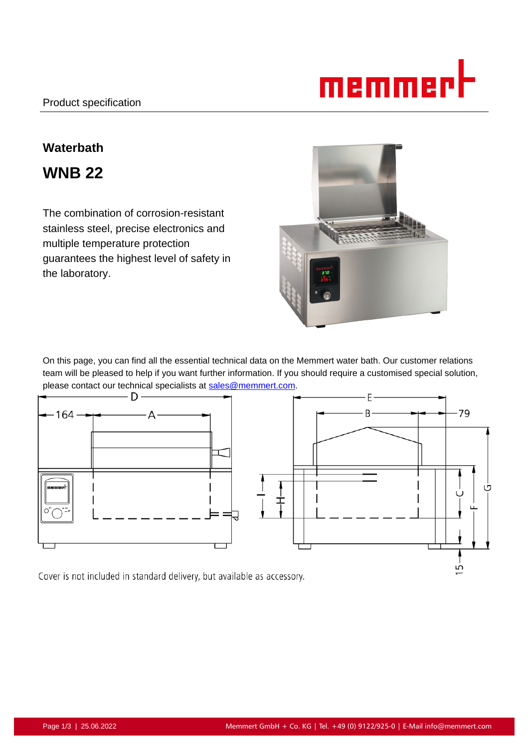

# **Waterbath**

**WNB 22**

The combination of corrosion-resistant stainless steel, precise electronics and multiple temperature protection guarantees the highest level of safety in the laboratory.



On this page, you can find all the essential technical data on the Memmert water bath. Our customer relations team will be pleased to help if you want further information. If you should require a customised special solution, please contact our technical specialists at sales@memmert.com.



Cover is not included in standard delivery, but available as accessory.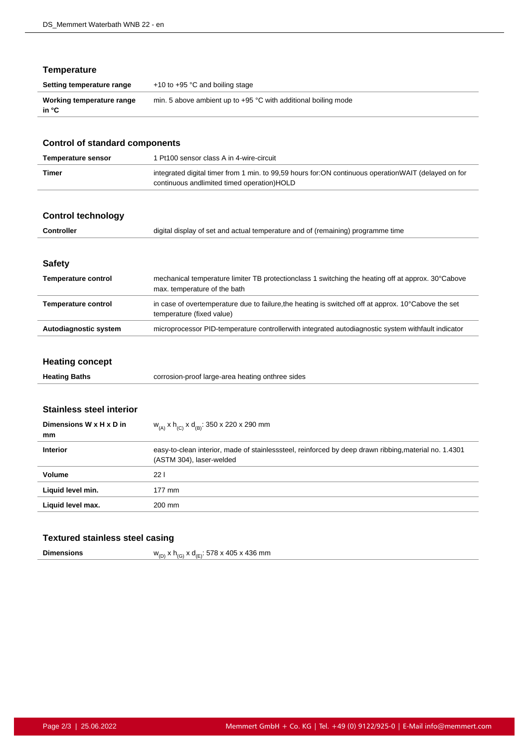# **Temperature**

| Setting temperature range          | $+10$ to $+95$ °C and boiling stage                              |
|------------------------------------|------------------------------------------------------------------|
| Working temperature range<br>in °C | min. 5 above ambient up to $+95$ °C with additional boiling mode |

| <b>Control of standard components</b>                            |                                                                                                                                                   |  |
|------------------------------------------------------------------|---------------------------------------------------------------------------------------------------------------------------------------------------|--|
| <b>Temperature sensor</b>                                        | 1 Pt100 sensor class A in 4-wire-circuit                                                                                                          |  |
| <b>Timer</b>                                                     | integrated digital timer from 1 min. to 99,59 hours for:ON continuous operationWAIT (delayed on for<br>continuous andlimited timed operation)HOLD |  |
| <b>Control technology</b>                                        |                                                                                                                                                   |  |
| <b>Controller</b>                                                | digital display of set and actual temperature and of (remaining) programme time                                                                   |  |
| <b>Safety</b>                                                    |                                                                                                                                                   |  |
| <b>Temperature control</b>                                       | mechanical temperature limiter TB protectionclass 1 switching the heating off at approx. 30°Cabove<br>max. temperature of the bath                |  |
| <b>Temperature control</b>                                       | in case of overtemperature due to failure, the heating is switched off at approx. 10°Cabove the set<br>temperature (fixed value)                  |  |
| Autodiagnostic system                                            | microprocessor PID-temperature controllerwith integrated autodiagnostic system withfault indicator                                                |  |
| <b>Heating concept</b>                                           |                                                                                                                                                   |  |
| <b>Heating Baths</b>                                             | corrosion-proof large-area heating onthree sides                                                                                                  |  |
| <b>Stainless steel interior</b><br>Dimensions W x H x D in<br>mm | $W_{(A)}$ x h <sub>(C)</sub> x d <sub>(B)</sub> : 350 x 220 x 290 mm                                                                              |  |
| <b>Interior</b>                                                  | easy-to-clean interior, made of stainlesssteel, reinforced by deep drawn ribbing, material no. 1.4301<br>(ASTM 304), laser-welded                 |  |
| <b>Volume</b>                                                    | 221                                                                                                                                               |  |
| Liquid level min.                                                | 177 mm                                                                                                                                            |  |

# **Textured stainless steel casing**

Liquid level max. 200 mm

| <b>Dimensions</b> | $W_{(D)}$ x h <sub>(G)</sub> x d <sub>(E)</sub> : 578 x 405 x 436 mm |  |
|-------------------|----------------------------------------------------------------------|--|
|-------------------|----------------------------------------------------------------------|--|